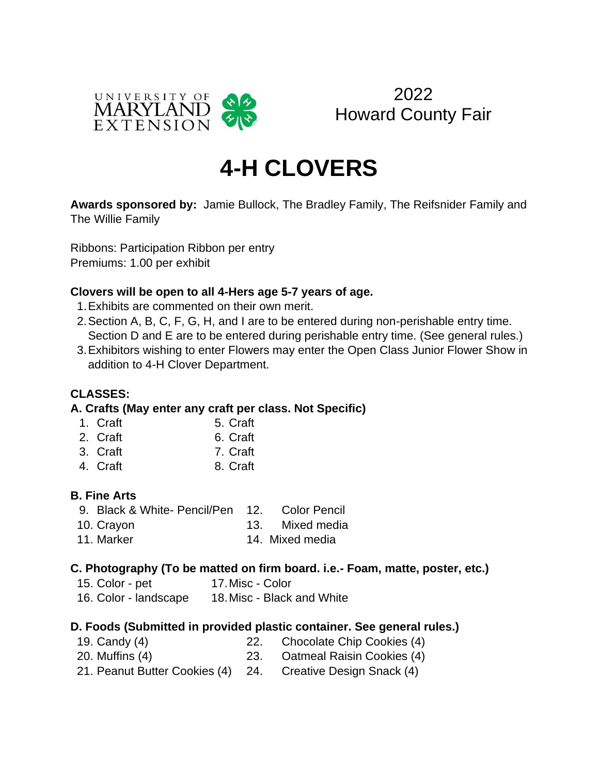



# **4-H CLOVERS**

**Awards sponsored by:** Jamie Bullock, The Bradley Family, The Reifsnider Family and The Willie Family

Ribbons: Participation Ribbon per entry Premiums: 1.00 per exhibit

### **Clovers will be open to all 4-Hers age 5-7 years of age.**

- 1.Exhibits are commented on their own merit.
- 2.Section A, B, C, F, G, H, and I are to be entered during non-perishable entry time. Section D and E are to be entered during perishable entry time. (See general rules.)
- 3.Exhibitors wishing to enter Flowers may enter the Open Class Junior Flower Show in addition to 4-H Clover Department.

### **CLASSES:**

### **A. Crafts (May enter any craft per class. Not Specific)**

- 1. Craft 5. Craft
- 2. Craft 6. Craft
- 3. Craft 7. Craft
- 4. Craft 8. Craft

### **B. Fine Arts**

- 9. Black & White- Pencil/Pen 12. Color Pencil
- 10. Crayon 13. Mixed media
- 11. Marker 14. Mixed media

### **C. Photography (To be matted on firm board. i.e.- Foam, matte, poster, etc.)**

15. Color - pet 17. Misc - Color 16. Color - landscape 18.Misc - Black and White

# **D. Foods (Submitted in provided plastic container. See general rules.)**

| 19. Candy (4)                     | Chocolate Chip Cookies (4) |
|-----------------------------------|----------------------------|
| 20. Muffins (4)                   | Oatmeal Raisin Cookies (4) |
| 21. Peanut Butter Cookies (4) 24. | Creative Design Snack (4)  |